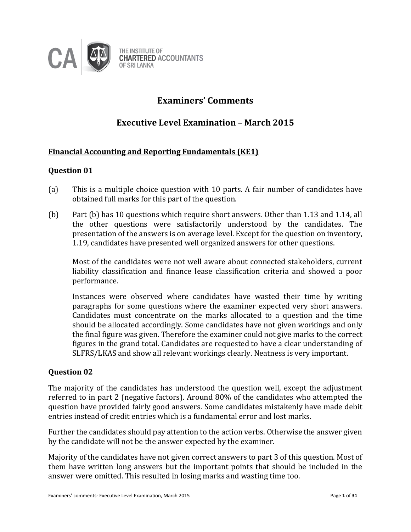

# **Examiners' Comments**

# **Executive Level Examination – March 2015**

# **Financial Accounting and Reporting Fundamentals (KE1)**

# **Question 01**

- (a) This is a multiple choice question with 10 parts. A fair number of candidates have obtained full marks for this part of the question.
- (b) Part (b) has 10 questions which require short answers. Other than 1.13 and 1.14, all the other questions were satisfactorily understood by the candidates. The presentation of the answers is on average level. Except for the question on inventory, 1.19, candidates have presented well organized answers for other questions.

Most of the candidates were not well aware about connected stakeholders, current liability classification and finance lease classification criteria and showed a poor performance.

Instances were observed where candidates have wasted their time by writing paragraphs for some questions where the examiner expected very short answers. Candidates must concentrate on the marks allocated to a question and the time should be allocated accordingly. Some candidates have not given workings and only the final figure was given. Therefore the examiner could not give marks to the correct figures in the grand total. Candidates are requested to have a clear understanding of SLFRS/LKAS and show all relevant workings clearly. Neatness is very important.

# **Question 02**

The majority of the candidates has understood the question well, except the adjustment referred to in part 2 (negative factors). Around 80% of the candidates who attempted the question have provided fairly good answers. Some candidates mistakenly have made debit entries instead of credit entries which is a fundamental error and lost marks.

Further the candidates should pay attention to the action verbs. Otherwise the answer given by the candidate will not be the answer expected by the examiner.

Majority of the candidates have not given correct answers to part 3 of this question. Most of them have written long answers but the important points that should be included in the answer were omitted. This resulted in losing marks and wasting time too.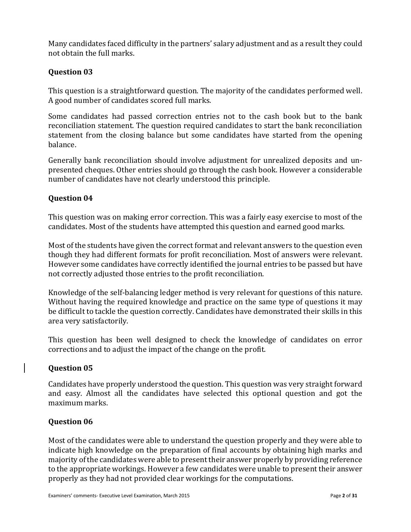Many candidates faced difficulty in the partners' salary adjustment and as a result they could not obtain the full marks.

# **Question 03**

This question is a straightforward question. The majority of the candidates performed well. A good number of candidates scored full marks.

Some candidates had passed correction entries not to the cash book but to the bank reconciliation statement. The question required candidates to start the bank reconciliation statement from the closing balance but some candidates have started from the opening balance.

Generally bank reconciliation should involve adjustment for unrealized deposits and unpresented cheques. Other entries should go through the cash book. However a considerable number of candidates have not clearly understood this principle.

# **Question 04**

This question was on making error correction. This was a fairly easy exercise to most of the candidates. Most of the students have attempted this question and earned good marks.

Most of the students have given the correct format and relevant answers to the question even though they had different formats for profit reconciliation. Most of answers were relevant. However some candidates have correctly identified the journal entries to be passed but have not correctly adjusted those entries to the profit reconciliation.

Knowledge of the self-balancing ledger method is very relevant for questions of this nature. Without having the required knowledge and practice on the same type of questions it may be difficult to tackle the question correctly. Candidates have demonstrated their skills in this area very satisfactorily.

This question has been well designed to check the knowledge of candidates on error corrections and to adjust the impact of the change on the profit.

# **Question 05**

Candidates have properly understood the question. This question was very straight forward and easy. Almost all the candidates have selected this optional question and got the maximum marks.

# **Question 06**

Most of the candidates were able to understand the question properly and they were able to indicate high knowledge on the preparation of final accounts by obtaining high marks and majority of the candidates were able to present their answer properly by providing reference to the appropriate workings. However a few candidates were unable to present their answer properly as they had not provided clear workings for the computations.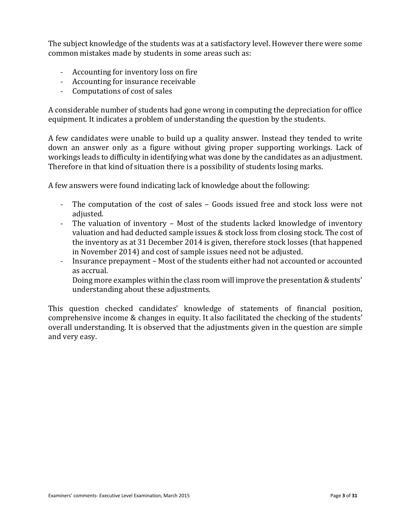The subject knowledge of the students was at a satisfactory level. However there were some common mistakes made by students in some areas such as:

- Accounting for inventory loss on fire
- Accounting for insurance receivable
- Computations of cost of sales

A considerable number of students had gone wrong in computing the depreciation for office equipment. It indicates a problem of understanding the question by the students.

A few candidates were unable to build up a quality answer. Instead they tended to write down an answer only as a figure without giving proper supporting workings. Lack of workings leads to difficulty in identifying what was done by the candidates as an adjustment. Therefore in that kind of situation there is a possibility of students losing marks.

A few answers were found indicating lack of knowledge about the following:

- The computation of the cost of sales Goods issued free and stock loss were not adjusted.
- The valuation of inventory Most of the students lacked knowledge of inventory valuation and had deducted sample issues & stock loss from closing stock. The cost of the inventory as at 31 December 2014 is given, therefore stock losses (that happened in November 2014) and cost of sample issues need not be adjusted.
- Insurance prepayment Most of the students either had not accounted or accounted as accrual.

Doing more examples within the class room will improve the presentation & students' understanding about these adjustments.

This question checked candidates' knowledge of statements of financial position, comprehensive income & changes in equity. It also facilitated the checking of the students' overall understanding. It is observed that the adjustments given in the question are simple and very easy.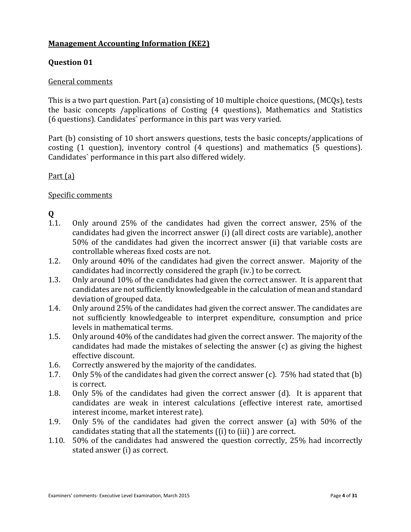# **Management Accounting Information (KE2)**

# **Question 01**

#### General comments

This is a two part question. Part (a) consisting of 10 multiple choice questions, (MCQs), tests the basic concepts /applications of Costing (4 questions), Mathematics and Statistics (6 questions). Candidates` performance in this part was very varied.

Part (b) consisting of 10 short answers questions, tests the basic concepts/applications of costing (1 question), inventory control (4 questions) and mathematics (5 questions). Candidates` performance in this part also differed widely.

# Part (a)

# Specific comments

# **Q**

- 1.1. Only around 25% of the candidates had given the correct answer, 25% of the candidates had given the incorrect answer (i) (all direct costs are variable), another 50% of the candidates had given the incorrect answer (ii) that variable costs are controllable whereas fixed costs are not.
- 1.2. Only around 40% of the candidates had given the correct answer. Majority of the candidates had incorrectly considered the graph (iv.) to be correct.
- 1.3. Only around 10% of the candidates had given the correct answer. It is apparent that candidates are not sufficiently knowledgeable in the calculation of mean and standard deviation of grouped data.
- 1.4. Only around 25% of the candidates had given the correct answer. The candidates are not sufficiently knowledgeable to interpret expenditure, consumption and price levels in mathematical terms.
- 1.5. Only around 40% of the candidates had given the correct answer. The majority of the candidates had made the mistakes of selecting the answer (c) as giving the highest effective discount.
- 1.6. Correctly answered by the majority of the candidates.
- 1.7. Only 5% of the candidates had given the correct answer (c). 75% had stated that (b) is correct.
- 1.8. Only 5% of the candidates had given the correct answer (d). It is apparent that candidates are weak in interest calculations (effective interest rate, amortised interest income, market interest rate).
- 1.9. Only 5% of the candidates had given the correct answer (a) with 50% of the candidates stating that all the statements ((i) to (iii) ) are correct.
- 1.10. 50% of the candidates had answered the question correctly, 25% had incorrectly stated answer (i) as correct.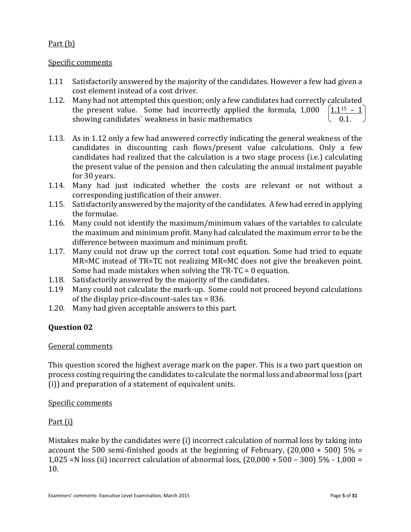# Part (b)

# Specific comments

- 1.11 Satisfactorily answered by the majority of the candidates. However a few had given a cost element instead of a cost driver.
- 1.12. Many had not attempted this question; only a few candidates had correctly calculated<br>the present value. Some had incorrectly applied the formula, 1,000  $\left( \frac{1.1^{15} 1}{1.1^{15} 1} \right)$ the present value. Some had incorrectly applied the formula, 1,000 showing candidates' weakness in basic mathematics
- 1.13. As in 1.12 only a few had answered correctly indicating the general weakness of the candidates in discounting cash flows/present value calculations. Only a few candidates had realized that the calculation is a two stage process (i.e.) calculating the present value of the pension and then calculating the annual instalment payable for 30 years.
- 1.14. Many had just indicated whether the costs are relevant or not without a corresponding justification of their answer.
- 1.15. Satisfactorily answered by the majority of the candidates. A few had erred in applying the formulae.
- 1.16. Many could not identify the maximum/minimum values of the variables to calculate the maximum and minimum profit. Many had calculated the maximum error to be the difference between maximum and minimum profit.
- 1.17. Many could not draw up the correct total cost equation. Some had tried to equate MR=MC instead of TR=TC not realizing MR=MC does not give the breakeven point. Some had made mistakes when solving the TR-TC = 0 equation.
- 1.18. Satisfactorily answered by the majority of the candidates.
- 1.19 Many could not calculate the mark-up. Some could not proceed beyond calculations of the display price-discount-sales tax = 836.
- 1.20. Many had given acceptable answers to this part.

# **Question 02**

# General comments

This question scored the highest average mark on the paper. This is a two part question on process costing requiring the candidates to calculate the normal loss and abnormal loss (part (i)) and preparation of a statement of equivalent units.

# Specific comments

# Part (i)

Mistakes make by the candidates were (i) incorrect calculation of normal loss by taking into account the 500 semi-finished goods at the beginning of February,  $(20,000 + 500)$  5% = 1,025 =N loss (ii) incorrect calculation of abnormal loss, (20,000 + 500 – 300) 5% - 1,000 = 10.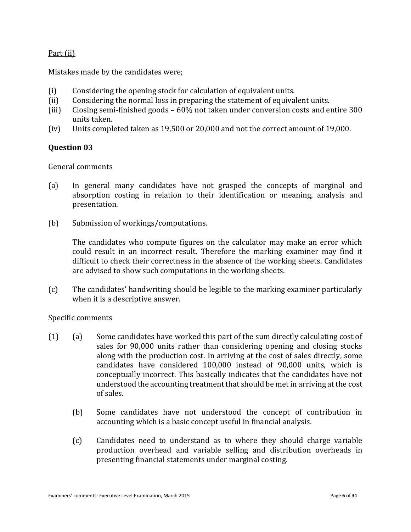# Part (ii)

Mistakes made by the candidates were;

- (i) Considering the opening stock for calculation of equivalent units.
- (ii) Considering the normal loss in preparing the statement of equivalent units.
- (iii) Closing semi-finished goods 60% not taken under conversion costs and entire 300 units taken.
- (iv) Units completed taken as 19,500 or 20,000 and not the correct amount of 19,000.

# **Question 03**

#### General comments

- (a) In general many candidates have not grasped the concepts of marginal and absorption costing in relation to their identification or meaning, analysis and presentation.
- (b) Submission of workings/computations.

The candidates who compute figures on the calculator may make an error which could result in an incorrect result. Therefore the marking examiner may find it difficult to check their correctness in the absence of the working sheets. Candidates are advised to show such computations in the working sheets.

(c) The candidates' handwriting should be legible to the marking examiner particularly when it is a descriptive answer.

- (1) (a) Some candidates have worked this part of the sum directly calculating cost of sales for 90,000 units rather than considering opening and closing stocks along with the production cost. In arriving at the cost of sales directly, some candidates have considered 100,000 instead of 90,000 units, which is conceptually incorrect. This basically indicates that the candidates have not understood the accounting treatment that should be met in arriving at the cost of sales.
	- (b) Some candidates have not understood the concept of contribution in accounting which is a basic concept useful in financial analysis.
	- (c) Candidates need to understand as to where they should charge variable production overhead and variable selling and distribution overheads in presenting financial statements under marginal costing.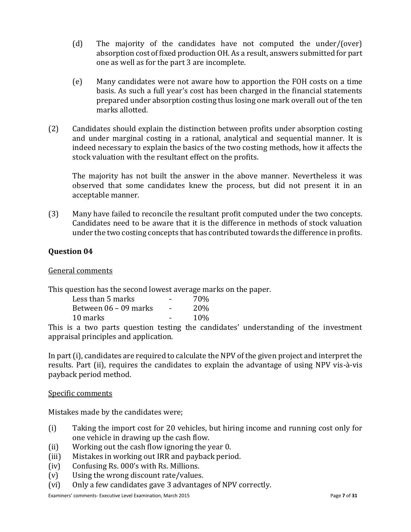- (d) The majority of the candidates have not computed the under/(over) absorption cost of fixed production OH. As a result, answers submitted for part one as well as for the part 3 are incomplete.
- (e) Many candidates were not aware how to apportion the FOH costs on a time basis. As such a full year's cost has been charged in the financial statements prepared under absorption costing thus losing one mark overall out of the ten marks allotted.
- (2) Candidates should explain the distinction between profits under absorption costing and under marginal costing in a rational, analytical and sequential manner. It is indeed necessary to explain the basics of the two costing methods, how it affects the stock valuation with the resultant effect on the profits.

The majority has not built the answer in the above manner. Nevertheless it was observed that some candidates knew the process, but did not present it in an acceptable manner.

(3) Many have failed to reconcile the resultant profit computed under the two concepts. Candidates need to be aware that it is the difference in methods of stock valuation under the two costing concepts that has contributed towards the difference in profits.

# **Question 04**

General comments

This question has the second lowest average marks on the paper.

| Less than 5 marks     |                          | 70%        |
|-----------------------|--------------------------|------------|
| Between 06 – 09 marks | $\overline{\phantom{0}}$ | <b>20%</b> |
| 10 marks              | -                        | 10%        |

This is a two parts question testing the candidates' understanding of the investment appraisal principles and application.

In part (i), candidates are required to calculate the NPV of the given project and interpret the results. Part (ii), requires the candidates to explain the advantage of using NPV vis-à-vis payback period method.

# Specific comments

Mistakes made by the candidates were;

- (i) Taking the import cost for 20 vehicles, but hiring income and running cost only for one vehicle in drawing up the cash flow.
- (ii) Working out the cash flow ignoring the year 0.
- (iii) Mistakes in working out IRR and payback period.
- (iv) Confusing Rs. 000's with Rs. Millions.
- (v) Using the wrong discount rate/values.
- (vi) Only a few candidates gave 3 advantages of NPV correctly.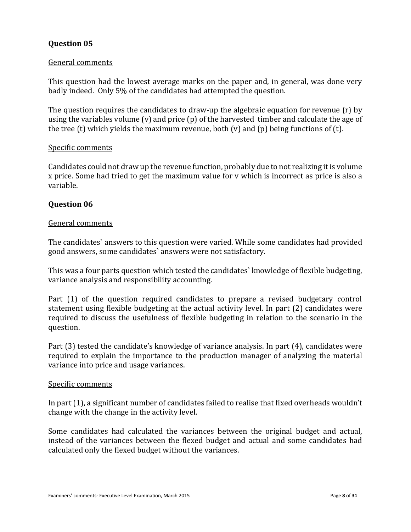#### General comments

This question had the lowest average marks on the paper and, in general, was done very badly indeed. Only 5% of the candidates had attempted the question.

The question requires the candidates to draw-up the algebraic equation for revenue (r) by using the variables volume (v) and price (p) of the harvested timber and calculate the age of the tree (t) which yields the maximum revenue, both (v) and (p) being functions of (t).

#### Specific comments

Candidates could not draw up the revenue function, probably due to not realizing it is volume x price. Some had tried to get the maximum value for v which is incorrect as price is also a variable.

#### **Question 06**

#### General comments

The candidates` answers to this question were varied. While some candidates had provided good answers, some candidates` answers were not satisfactory.

This was a four parts question which tested the candidates` knowledge of flexible budgeting, variance analysis and responsibility accounting.

Part (1) of the question required candidates to prepare a revised budgetary control statement using flexible budgeting at the actual activity level. In part (2) candidates were required to discuss the usefulness of flexible budgeting in relation to the scenario in the question.

Part (3) tested the candidate's knowledge of variance analysis. In part (4), candidates were required to explain the importance to the production manager of analyzing the material variance into price and usage variances.

#### Specific comments

In part (1), a significant number of candidates failed to realise that fixed overheads wouldn't change with the change in the activity level.

Some candidates had calculated the variances between the original budget and actual, instead of the variances between the flexed budget and actual and some candidates had calculated only the flexed budget without the variances.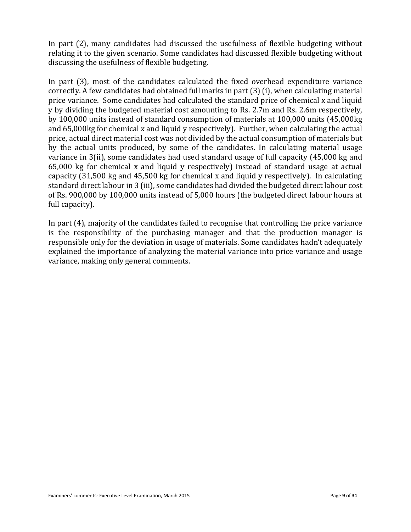In part (2), many candidates had discussed the usefulness of flexible budgeting without relating it to the given scenario. Some candidates had discussed flexible budgeting without discussing the usefulness of flexible budgeting.

In part (3), most of the candidates calculated the fixed overhead expenditure variance correctly. A few candidates had obtained full marks in part (3) (i), when calculating material price variance. Some candidates had calculated the standard price of chemical x and liquid y by dividing the budgeted material cost amounting to Rs. 2.7m and Rs. 2.6m respectively, by 100,000 units instead of standard consumption of materials at 100,000 units (45,000kg and 65,000kg for chemical x and liquid y respectively). Further, when calculating the actual price, actual direct material cost was not divided by the actual consumption of materials but by the actual units produced, by some of the candidates. In calculating material usage variance in 3(ii), some candidates had used standard usage of full capacity (45,000 kg and 65,000 kg for chemical x and liquid y respectively) instead of standard usage at actual capacity (31,500 kg and 45,500 kg for chemical x and liquid y respectively). In calculating standard direct labour in 3 (iii), some candidates had divided the budgeted direct labour cost of Rs. 900,000 by 100,000 units instead of 5,000 hours (the budgeted direct labour hours at full capacity).

In part (4), majority of the candidates failed to recognise that controlling the price variance is the responsibility of the purchasing manager and that the production manager is responsible only for the deviation in usage of materials. Some candidates hadn't adequately explained the importance of analyzing the material variance into price variance and usage variance, making only general comments.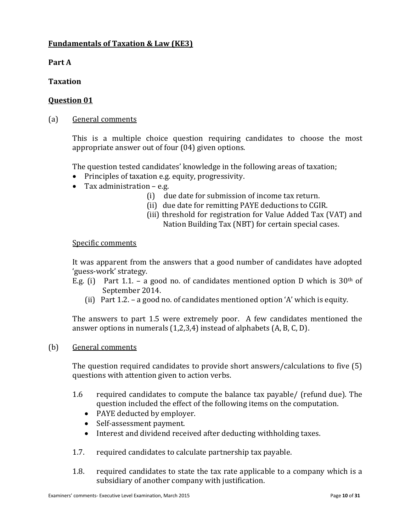# **Fundamentals of Taxation & Law (KE3)**

**Part A**

**Taxation**

# **Question 01**

(a) General comments

This is a multiple choice question requiring candidates to choose the most appropriate answer out of four (04) given options.

The question tested candidates' knowledge in the following areas of taxation;

- Principles of taxation e.g. equity, progressivity.
- Tax administration e.g.
	- (i) due date for submission of income tax return.
	- (ii) due date for remitting PAYE deductions to CGIR.
	- (iii) threshold for registration for Value Added Tax (VAT) and Nation Building Tax (NBT) for certain special cases.

# Specific comments

It was apparent from the answers that a good number of candidates have adopted 'guess-work' strategy.

- E.g. (i) Part 1.1. a good no. of candidates mentioned option D which is  $30<sup>th</sup>$  of September 2014.
	- (ii) Part 1.2. a good no. of candidates mentioned option 'A' which is equity.

The answers to part 1.5 were extremely poor. A few candidates mentioned the answer options in numerals (1,2,3,4) instead of alphabets (A, B, C, D).

(b) General comments

The question required candidates to provide short answers/calculations to five (5) questions with attention given to action verbs.

- 1.6 required candidates to compute the balance tax payable/ (refund due). The question included the effect of the following items on the computation.
	- PAYE deducted by employer.
	- Self-assessment payment.
	- Interest and dividend received after deducting withholding taxes.
- 1.7. required candidates to calculate partnership tax payable.
- 1.8. required candidates to state the tax rate applicable to a company which is a subsidiary of another company with justification.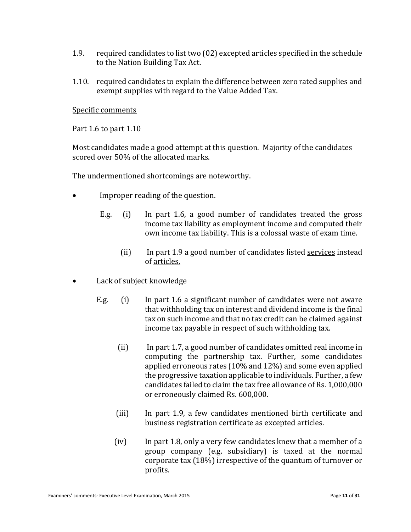- 1.9. required candidates to list two (02) excepted articles specified in the schedule to the Nation Building Tax Act.
- 1.10. required candidates to explain the difference between zero rated supplies and exempt supplies with regard to the Value Added Tax.

Specific comments

Part 1.6 to part 1.10

Most candidates made a good attempt at this question. Majority of the candidates scored over 50% of the allocated marks.

The undermentioned shortcomings are noteworthy.

- Improper reading of the question.
	- E.g. (i) In part 1.6, a good number of candidates treated the gross income tax liability as employment income and computed their own income tax liability. This is a colossal waste of exam time.
		- (ii) In part 1.9 a good number of candidates listed services instead of articles.
- Lack of subject knowledge
	- E.g. (i) In part 1.6 a significant number of candidates were not aware that withholding tax on interest and dividend income is the final tax on such income and that no tax credit can be claimed against income tax payable in respect of such withholding tax.
		- (ii) In part 1.7, a good number of candidates omitted real income in computing the partnership tax. Further, some candidates applied erroneous rates (10% and 12%) and some even applied the progressive taxation applicable to individuals. Further, a few candidates failed to claim the tax free allowance of Rs. 1,000,000 or erroneously claimed Rs. 600,000.
		- (iii) In part 1.9, a few candidates mentioned birth certificate and business registration certificate as excepted articles.
		- (iv) In part 1.8, only a very few candidates knew that a member of a group company (e.g. subsidiary) is taxed at the normal corporate tax (18%) irrespective of the quantum of turnover or profits.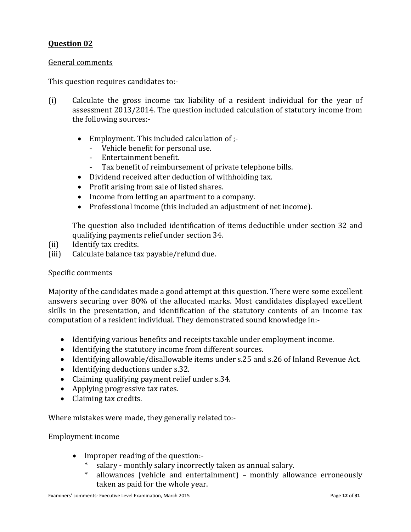#### General comments

This question requires candidates to:-

- (i) Calculate the gross income tax liability of a resident individual for the year of assessment 2013/2014. The question included calculation of statutory income from the following sources:-
	- Employment. This included calculation of :-
		- Vehicle benefit for personal use.
		- Entertainment benefit.
		- Tax benefit of reimbursement of private telephone bills.
	- Dividend received after deduction of withholding tax.
	- Profit arising from sale of listed shares.
	- Income from letting an apartment to a company.
	- Professional income (this included an adjustment of net income).

The question also included identification of items deductible under section 32 and qualifying payments relief under section 34.

- (ii) Identify tax credits.
- (iii) Calculate balance tax payable/refund due.

#### Specific comments

Majority of the candidates made a good attempt at this question. There were some excellent answers securing over 80% of the allocated marks. Most candidates displayed excellent skills in the presentation, and identification of the statutory contents of an income tax computation of a resident individual. They demonstrated sound knowledge in:-

- Identifying various benefits and receipts taxable under employment income.
- Identifying the statutory income from different sources.
- Identifying allowable/disallowable items under s.25 and s.26 of Inland Revenue Act.
- Identifying deductions under s.32.
- Claiming qualifying payment relief under s.34.
- Applying progressive tax rates.
- Claiming tax credits.

Where mistakes were made, they generally related to:-

#### Employment income

- Improper reading of the question:-
	- \* salary monthly salary incorrectly taken as annual salary.
	- \* allowances (vehicle and entertainment) monthly allowance erroneously taken as paid for the whole year.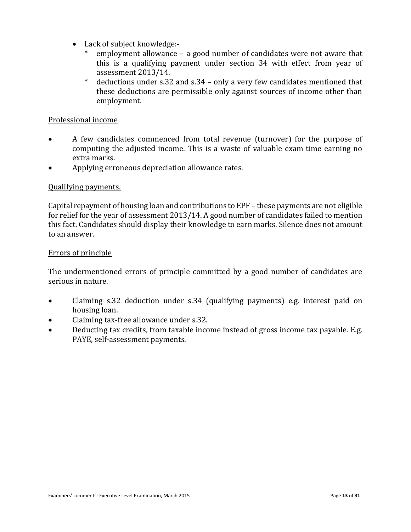- Lack of subject knowledge:
	- employment allowance a good number of candidates were not aware that this is a qualifying payment under section 34 with effect from year of assessment 2013/14.
	- \* deductions under s.32 and s.34 only a very few candidates mentioned that these deductions are permissible only against sources of income other than employment.

# Professional income

- A few candidates commenced from total revenue (turnover) for the purpose of computing the adjusted income. This is a waste of valuable exam time earning no extra marks.
- Applying erroneous depreciation allowance rates.

# Qualifying payments.

Capital repayment of housing loan and contributions to EPF – these payments are not eligible for relief for the year of assessment 2013/14. A good number of candidates failed to mention this fact. Candidates should display their knowledge to earn marks. Silence does not amount to an answer.

#### Errors of principle

The undermentioned errors of principle committed by a good number of candidates are serious in nature.

- Claiming s.32 deduction under s.34 (qualifying payments) e.g. interest paid on housing loan.
- Claiming tax-free allowance under s.32.
- Deducting tax credits, from taxable income instead of gross income tax payable. E.g. PAYE, self-assessment payments.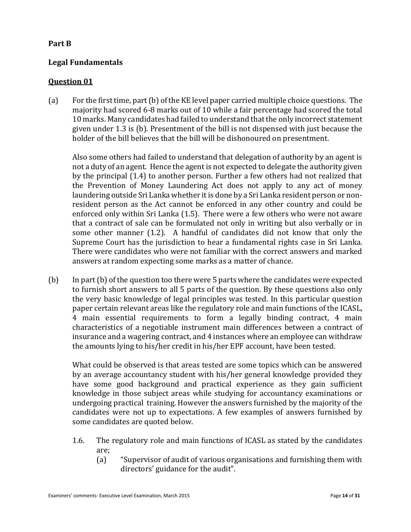# **Part B**

# **Legal Fundamentals**

# **Question 01**

(a) For the first time, part (b) of the KE level paper carried multiple choice questions. The majority had scored 6-8 marks out of 10 while a fair percentage had scored the total 10 marks. Many candidates had failed to understand that the only incorrect statement given under 1.3 is (b). Presentment of the bill is not dispensed with just because the holder of the bill believes that the bill will be dishonoured on presentment.

Also some others had failed to understand that delegation of authority by an agent is not a duty of an agent. Hence the agent is not expected to delegate the authority given by the principal (1.4) to another person. Further a few others had not realized that the Prevention of Money Laundering Act does not apply to any act of money laundering outside Sri Lanka whether it is done by a Sri Lanka resident person or nonresident person as the Act cannot be enforced in any other country and could be enforced only within Sri Lanka (1.5). There were a few others who were not aware that a contract of sale can be formulated not only in writing but also verbally or in some other manner (1.2). A handful of candidates did not know that only the Supreme Court has the jurisdiction to hear a fundamental rights case in Sri Lanka. There were candidates who were not familiar with the correct answers and marked answers at random expecting some marks as a matter of chance.

(b) In part (b) of the question too there were 5 parts where the candidates were expected to furnish short answers to all 5 parts of the question. By these questions also only the very basic knowledge of legal principles was tested. In this particular question paper certain relevant areas like the regulatory role and main functions of the ICASL, 4 main essential requirements to form a legally binding contract, 4 main characteristics of a negotiable instrument main differences between a contract of insurance and a wagering contract, and 4 instances where an employee can withdraw the amounts lying to his/her credit in his/her EPF account, have been tested.

What could be observed is that areas tested are some topics which can be answered by an average accountancy student with his/her general knowledge provided they have some good background and practical experience as they gain sufficient knowledge in those subject areas while studying for accountancy examinations or undergoing practical training. However the answers furnished by the majority of the candidates were not up to expectations. A few examples of answers furnished by some candidates are quoted below.

- 1.6. The regulatory role and main functions of ICASL as stated by the candidates are;
	- (a) "Supervisor of audit of various organisations and furnishing them with directors' guidance for the audit".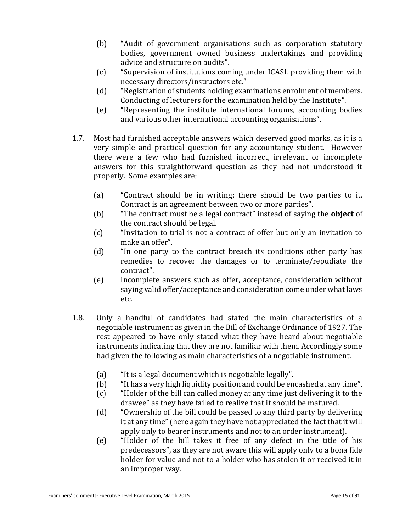- (b) "Audit of government organisations such as corporation statutory bodies, government owned business undertakings and providing advice and structure on audits".
- (c) "Supervision of institutions coming under ICASL providing them with necessary directors/instructors etc."
- (d) "Registration of students holding examinations enrolment of members. Conducting of lecturers for the examination held by the Institute".
- (e) "Representing the institute international forums, accounting bodies and various other international accounting organisations".
- 1.7. Most had furnished acceptable answers which deserved good marks, as it is a very simple and practical question for any accountancy student. However there were a few who had furnished incorrect, irrelevant or incomplete answers for this straightforward question as they had not understood it properly. Some examples are;
	- (a) "Contract should be in writing; there should be two parties to it. Contract is an agreement between two or more parties".
	- (b) "The contract must be a legal contract" instead of saying the **object** of the contract should be legal.
	- (c) "Invitation to trial is not a contract of offer but only an invitation to make an offer".
	- (d) "In one party to the contract breach its conditions other party has remedies to recover the damages or to terminate/repudiate the contract".
	- (e) Incomplete answers such as offer, acceptance, consideration without saying valid offer/acceptance and consideration come under what laws etc.
- 1.8. Only a handful of candidates had stated the main characteristics of a negotiable instrument as given in the Bill of Exchange Ordinance of 1927. The rest appeared to have only stated what they have heard about negotiable instruments indicating that they are not familiar with them. Accordingly some had given the following as main characteristics of a negotiable instrument.
	- (a) "It is a legal document which is negotiable legally".
	- (b) "It has a very high liquidity position and could be encashed at any time".
	- (c) "Holder of the bill can called money at any time just delivering it to the drawee" as they have failed to realize that it should be matured.
	- (d) "Ownership of the bill could be passed to any third party by delivering it at any time" (here again they have not appreciated the fact that it will apply only to bearer instruments and not to an order instrument).
	- (e) "Holder of the bill takes it free of any defect in the title of his predecessors", as they are not aware this will apply only to a bona fide holder for value and not to a holder who has stolen it or received it in an improper way.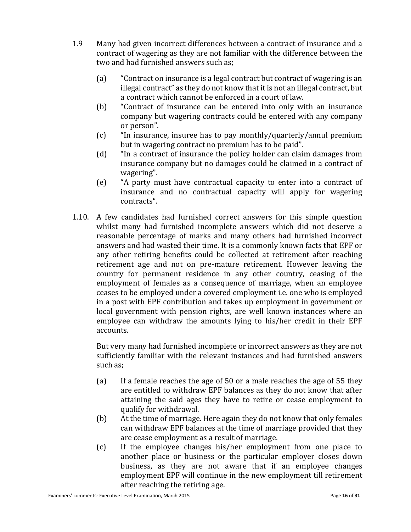- 1.9 Many had given incorrect differences between a contract of insurance and a contract of wagering as they are not familiar with the difference between the two and had furnished answers such as;
	- (a) "Contract on insurance is a legal contract but contract of wagering is an illegal contract" as they do not know that it is not an illegal contract, but a contract which cannot be enforced in a court of law.
	- (b) "Contract of insurance can be entered into only with an insurance company but wagering contracts could be entered with any company or person".
	- (c) "In insurance, insuree has to pay monthly/quarterly/annul premium but in wagering contract no premium has to be paid".
	- (d) "In a contract of insurance the policy holder can claim damages from insurance company but no damages could be claimed in a contract of wagering".
	- (e) "A party must have contractual capacity to enter into a contract of insurance and no contractual capacity will apply for wagering contracts".
- 1.10. A few candidates had furnished correct answers for this simple question whilst many had furnished incomplete answers which did not deserve a reasonable percentage of marks and many others had furnished incorrect answers and had wasted their time. It is a commonly known facts that EPF or any other retiring benefits could be collected at retirement after reaching retirement age and not on pre-mature retirement. However leaving the country for permanent residence in any other country, ceasing of the employment of females as a consequence of marriage, when an employee ceases to be employed under a covered employment i.e. one who is employed in a post with EPF contribution and takes up employment in government or local government with pension rights, are well known instances where an employee can withdraw the amounts lying to his/her credit in their EPF accounts.

But very many had furnished incomplete or incorrect answers as they are not sufficiently familiar with the relevant instances and had furnished answers such as;

- (a) If a female reaches the age of 50 or a male reaches the age of 55 they are entitled to withdraw EPF balances as they do not know that after attaining the said ages they have to retire or cease employment to qualify for withdrawal.
- (b) At the time of marriage. Here again they do not know that only females can withdraw EPF balances at the time of marriage provided that they are cease employment as a result of marriage.
- (c) If the employee changes his/her employment from one place to another place or business or the particular employer closes down business, as they are not aware that if an employee changes employment EPF will continue in the new employment till retirement after reaching the retiring age.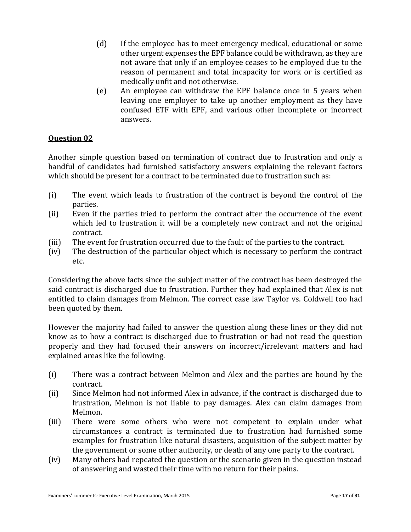- (d) If the employee has to meet emergency medical, educational or some other urgent expenses the EPF balance could be withdrawn, as they are not aware that only if an employee ceases to be employed due to the reason of permanent and total incapacity for work or is certified as medically unfit and not otherwise.
- (e) An employee can withdraw the EPF balance once in 5 years when leaving one employer to take up another employment as they have confused ETF with EPF, and various other incomplete or incorrect answers.

Another simple question based on termination of contract due to frustration and only a handful of candidates had furnished satisfactory answers explaining the relevant factors which should be present for a contract to be terminated due to frustration such as:

- (i) The event which leads to frustration of the contract is beyond the control of the parties.
- (ii) Even if the parties tried to perform the contract after the occurrence of the event which led to frustration it will be a completely new contract and not the original contract.
- (iii) The event for frustration occurred due to the fault of the parties to the contract.
- (iv) The destruction of the particular object which is necessary to perform the contract etc.

Considering the above facts since the subject matter of the contract has been destroyed the said contract is discharged due to frustration. Further they had explained that Alex is not entitled to claim damages from Melmon. The correct case law Taylor vs. Coldwell too had been quoted by them.

However the majority had failed to answer the question along these lines or they did not know as to how a contract is discharged due to frustration or had not read the question properly and they had focused their answers on incorrect/irrelevant matters and had explained areas like the following.

- (i) There was a contract between Melmon and Alex and the parties are bound by the contract.
- (ii) Since Melmon had not informed Alex in advance, if the contract is discharged due to frustration, Melmon is not liable to pay damages. Alex can claim damages from Melmon.
- (iii) There were some others who were not competent to explain under what circumstances a contract is terminated due to frustration had furnished some examples for frustration like natural disasters, acquisition of the subject matter by the government or some other authority, or death of any one party to the contract.
- (iv) Many others had repeated the question or the scenario given in the question instead of answering and wasted their time with no return for their pains.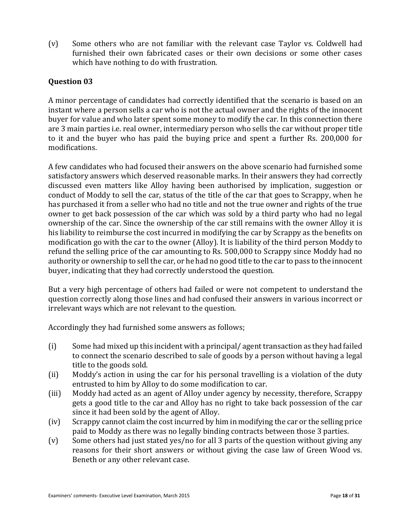(v) Some others who are not familiar with the relevant case Taylor vs. Coldwell had furnished their own fabricated cases or their own decisions or some other cases which have nothing to do with frustration.

# **Question 03**

A minor percentage of candidates had correctly identified that the scenario is based on an instant where a person sells a car who is not the actual owner and the rights of the innocent buyer for value and who later spent some money to modify the car. In this connection there are 3 main parties i.e. real owner, intermediary person who sells the car without proper title to it and the buyer who has paid the buying price and spent a further Rs. 200,000 for modifications.

A few candidates who had focused their answers on the above scenario had furnished some satisfactory answers which deserved reasonable marks. In their answers they had correctly discussed even matters like Alloy having been authorised by implication, suggestion or conduct of Moddy to sell the car, status of the title of the car that goes to Scrappy, when he has purchased it from a seller who had no title and not the true owner and rights of the true owner to get back possession of the car which was sold by a third party who had no legal ownership of the car. Since the ownership of the car still remains with the owner Alloy it is his liability to reimburse the cost incurred in modifying the car by Scrappy as the benefits on modification go with the car to the owner (Alloy). It is liability of the third person Moddy to refund the selling price of the car amounting to Rs. 500,000 to Scrappy since Moddy had no authority or ownership to sell the car, or he had no good title to the car to pass to the innocent buyer, indicating that they had correctly understood the question.

But a very high percentage of others had failed or were not competent to understand the question correctly along those lines and had confused their answers in various incorrect or irrelevant ways which are not relevant to the question.

Accordingly they had furnished some answers as follows;

- (i) Some had mixed up this incident with a principal/ agent transaction as they had failed to connect the scenario described to sale of goods by a person without having a legal title to the goods sold.
- (ii) Moddy's action in using the car for his personal travelling is a violation of the duty entrusted to him by Alloy to do some modification to car.
- (iii) Moddy had acted as an agent of Alloy under agency by necessity, therefore, Scrappy gets a good title to the car and Alloy has no right to take back possession of the car since it had been sold by the agent of Alloy.
- (iv) Scrappy cannot claim the cost incurred by him in modifying the car or the selling price paid to Moddy as there was no legally binding contracts between those 3 parties.
- (v) Some others had just stated yes/no for all 3 parts of the question without giving any reasons for their short answers or without giving the case law of Green Wood vs. Beneth or any other relevant case.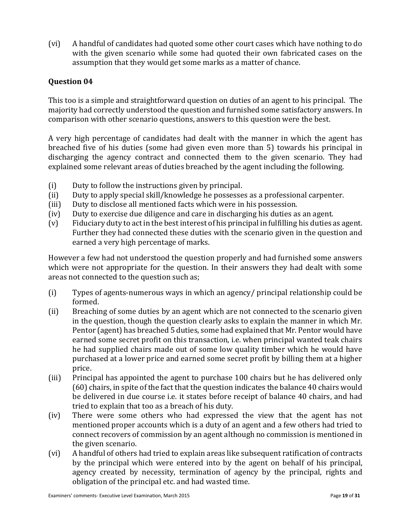(vi) A handful of candidates had quoted some other court cases which have nothing to do with the given scenario while some had quoted their own fabricated cases on the assumption that they would get some marks as a matter of chance.

# **Question 04**

This too is a simple and straightforward question on duties of an agent to his principal. The majority had correctly understood the question and furnished some satisfactory answers. In comparison with other scenario questions, answers to this question were the best.

A very high percentage of candidates had dealt with the manner in which the agent has breached five of his duties (some had given even more than 5) towards his principal in discharging the agency contract and connected them to the given scenario. They had explained some relevant areas of duties breached by the agent including the following.

- (i) Duty to follow the instructions given by principal.
- (ii) Duty to apply special skill/knowledge he possesses as a professional carpenter.
- (iii) Duty to disclose all mentioned facts which were in his possession.
- (iv) Duty to exercise due diligence and care in discharging his duties as an agent.
- (v) Fiduciary duty to act in the best interest of his principal in fulfilling his duties as agent. Further they had connected these duties with the scenario given in the question and earned a very high percentage of marks.

However a few had not understood the question properly and had furnished some answers which were not appropriate for the question. In their answers they had dealt with some areas not connected to the question such as;

- (i) Types of agents-numerous ways in which an agency/ principal relationship could be formed.
- (ii) Breaching of some duties by an agent which are not connected to the scenario given in the question, though the question clearly asks to explain the manner in which Mr. Pentor (agent) has breached 5 duties, some had explained that Mr. Pentor would have earned some secret profit on this transaction, i.e. when principal wanted teak chairs he had supplied chairs made out of some low quality timber which he would have purchased at a lower price and earned some secret profit by billing them at a higher price.
- (iii) Principal has appointed the agent to purchase 100 chairs but he has delivered only (60) chairs, in spite of the fact that the question indicates the balance 40 chairs would be delivered in due course i.e. it states before receipt of balance 40 chairs, and had tried to explain that too as a breach of his duty.
- (iv) There were some others who had expressed the view that the agent has not mentioned proper accounts which is a duty of an agent and a few others had tried to connect recovers of commission by an agent although no commission is mentioned in the given scenario.
- (vi) A handful of others had tried to explain areas like subsequent ratification of contracts by the principal which were entered into by the agent on behalf of his principal, agency created by necessity, termination of agency by the principal, rights and obligation of the principal etc. and had wasted time.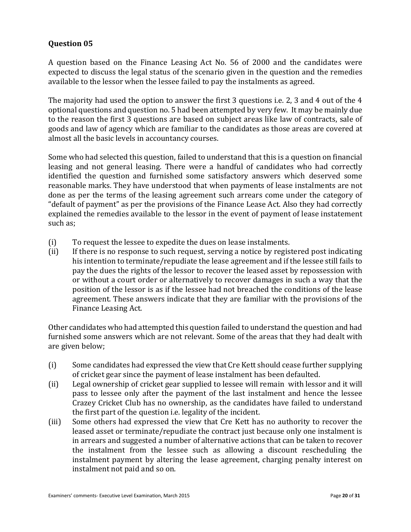A question based on the Finance Leasing Act No. 56 of 2000 and the candidates were expected to discuss the legal status of the scenario given in the question and the remedies available to the lessor when the lessee failed to pay the instalments as agreed.

The majority had used the option to answer the first 3 questions i.e. 2, 3 and 4 out of the 4 optional questions and question no. 5 had been attempted by very few. It may be mainly due to the reason the first 3 questions are based on subject areas like law of contracts, sale of goods and law of agency which are familiar to the candidates as those areas are covered at almost all the basic levels in accountancy courses.

Some who had selected this question, failed to understand that this is a question on financial leasing and not general leasing. There were a handful of candidates who had correctly identified the question and furnished some satisfactory answers which deserved some reasonable marks. They have understood that when payments of lease instalments are not done as per the terms of the leasing agreement such arrears come under the category of "default of payment" as per the provisions of the Finance Lease Act. Also they had correctly explained the remedies available to the lessor in the event of payment of lease instatement such as;

- (i) To request the lessee to expedite the dues on lease instalments.
- (ii) If there is no response to such request, serving a notice by registered post indicating his intention to terminate/repudiate the lease agreement and if the lessee still fails to pay the dues the rights of the lessor to recover the leased asset by repossession with or without a court order or alternatively to recover damages in such a way that the position of the lessor is as if the lessee had not breached the conditions of the lease agreement. These answers indicate that they are familiar with the provisions of the Finance Leasing Act.

Other candidates who had attempted this question failed to understand the question and had furnished some answers which are not relevant. Some of the areas that they had dealt with are given below;

- (i) Some candidates had expressed the view that Cre Kett should cease further supplying of cricket gear since the payment of lease instalment has been defaulted.
- (ii) Legal ownership of cricket gear supplied to lessee will remain with lessor and it will pass to lessee only after the payment of the last instalment and hence the lessee Crazey Cricket Club has no ownership, as the candidates have failed to understand the first part of the question i.e. legality of the incident.
- (iii) Some others had expressed the view that Cre Kett has no authority to recover the leased asset or terminate/repudiate the contract just because only one instalment is in arrears and suggested a number of alternative actions that can be taken to recover the instalment from the lessee such as allowing a discount rescheduling the instalment payment by altering the lease agreement, charging penalty interest on instalment not paid and so on.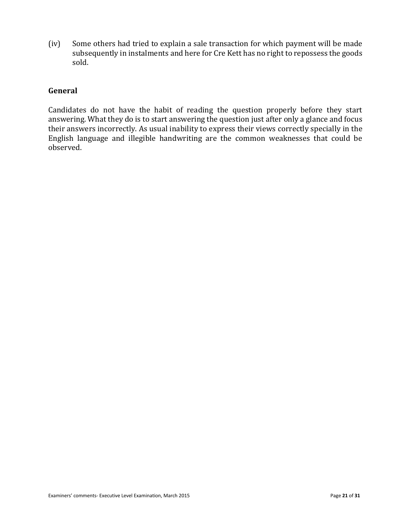(iv) Some others had tried to explain a sale transaction for which payment will be made subsequently in instalments and here for Cre Kett has no right to repossess the goods sold.

# **General**

Candidates do not have the habit of reading the question properly before they start answering. What they do is to start answering the question just after only a glance and focus their answers incorrectly. As usual inability to express their views correctly specially in the English language and illegible handwriting are the common weaknesses that could be observed.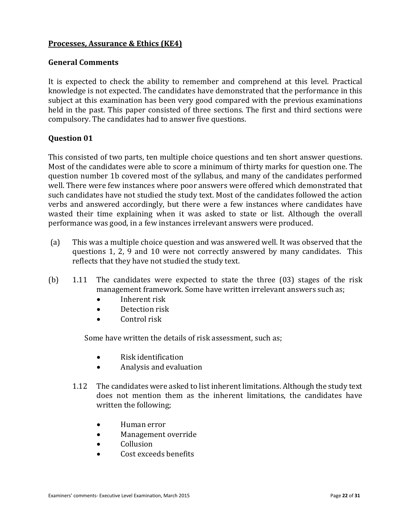# **Processes, Assurance & Ethics (KE4)**

#### **General Comments**

It is expected to check the ability to remember and comprehend at this level. Practical knowledge is not expected. The candidates have demonstrated that the performance in this subject at this examination has been very good compared with the previous examinations held in the past. This paper consisted of three sections. The first and third sections were compulsory. The candidates had to answer five questions.

# **Question 01**

This consisted of two parts, ten multiple choice questions and ten short answer questions. Most of the candidates were able to score a minimum of thirty marks for question one. The question number 1b covered most of the syllabus, and many of the candidates performed well. There were few instances where poor answers were offered which demonstrated that such candidates have not studied the study text. Most of the candidates followed the action verbs and answered accordingly, but there were a few instances where candidates have wasted their time explaining when it was asked to state or list. Although the overall performance was good, in a few instances irrelevant answers were produced.

- (a) This was a multiple choice question and was answered well. It was observed that the questions 1, 2, 9 and 10 were not correctly answered by many candidates. This reflects that they have not studied the study text.
- (b) 1.11 The candidates were expected to state the three (03) stages of the risk management framework. Some have written irrelevant answers such as;
	- Inherent risk
	- Detection risk
	- Control risk

Some have written the details of risk assessment, such as;

- Risk identification
- Analysis and evaluation
- 1.12 The candidates were asked to list inherent limitations. Although the study text does not mention them as the inherent limitations, the candidates have written the following;
	- Human error
	- Management override
	- Collusion
	- Cost exceeds benefits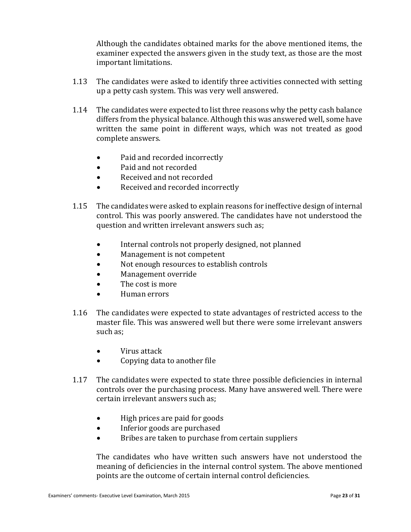Although the candidates obtained marks for the above mentioned items, the examiner expected the answers given in the study text, as those are the most important limitations.

- 1.13 The candidates were asked to identify three activities connected with setting up a petty cash system. This was very well answered.
- 1.14 The candidates were expected to list three reasons why the petty cash balance differs from the physical balance. Although this was answered well, some have written the same point in different ways, which was not treated as good complete answers.
	- Paid and recorded incorrectly
	- Paid and not recorded
	- Received and not recorded
	- Received and recorded incorrectly
- 1.15 The candidates were asked to explain reasons for ineffective design of internal control. This was poorly answered. The candidates have not understood the question and written irrelevant answers such as;
	- Internal controls not properly designed, not planned
	- Management is not competent
	- Not enough resources to establish controls
	- Management override
	- The cost is more
	- Human errors
- 1.16 The candidates were expected to state advantages of restricted access to the master file. This was answered well but there were some irrelevant answers such as;
	- Virus attack
	- Copying data to another file
- 1.17 The candidates were expected to state three possible deficiencies in internal controls over the purchasing process. Many have answered well. There were certain irrelevant answers such as;
	- High prices are paid for goods
	- Inferior goods are purchased
	- Bribes are taken to purchase from certain suppliers

The candidates who have written such answers have not understood the meaning of deficiencies in the internal control system. The above mentioned points are the outcome of certain internal control deficiencies.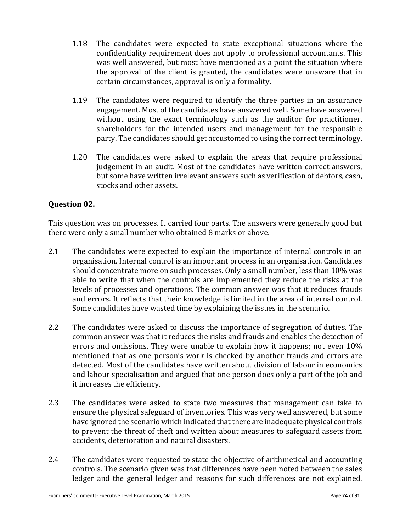- 1.18 The candidates were expected to state exceptional situations where the confidentiality requirement does not apply to professional accountants. This was well answered, but most have mentioned as a point the situation where the approval of the client is granted, the candidates were unaware that in certain circumstances, approval is only a formality.
- 1.19 The candidates were required to identify the three parties in an assurance engagement. Most of the candidates have answered well. Some have answered without using the exact terminology such as the auditor for practitioner, shareholders for the intended users and management for the responsible party. The candidates should get accustomed to using the correct terminology.
- 1.20 The candidates were asked to explain the a**r**eas that require professional judgement in an audit. Most of the candidates have written correct answers, but some have written irrelevant answers such as verification of debtors, cash, stocks and other assets.

# **Question 02.**

This question was on processes. It carried four parts. The answers were generally good but there were only a small number who obtained 8 marks or above.

- 2.1 The candidates were expected to explain the importance of internal controls in an organisation. Internal control is an important process in an organisation. Candidates should concentrate more on such processes. Only a small number, less than 10% was able to write that when the controls are implemented they reduce the risks at the levels of processes and operations. The common answer was that it reduces frauds and errors. It reflects that their knowledge is limited in the area of internal control. Some candidates have wasted time by explaining the issues in the scenario.
- 2.2 The candidates were asked to discuss the importance of segregation of duties. The common answer was that it reduces the risks and frauds and enables the detection of errors and omissions. They were unable to explain how it happens; not even 10% mentioned that as one person's work is checked by another frauds and errors are detected. Most of the candidates have written about division of labour in economics and labour specialisation and argued that one person does only a part of the job and it increases the efficiency.
- 2.3 The candidates were asked to state two measures that management can take to ensure the physical safeguard of inventories. This was very well answered, but some have ignored the scenario which indicated that there are inadequate physical controls to prevent the threat of theft and written about measures to safeguard assets from accidents, deterioration and natural disasters.
- 2.4 The candidates were requested to state the objective of arithmetical and accounting controls. The scenario given was that differences have been noted between the sales ledger and the general ledger and reasons for such differences are not explained.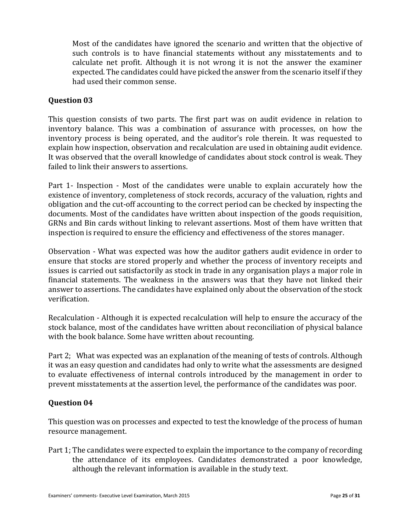Most of the candidates have ignored the scenario and written that the objective of such controls is to have financial statements without any misstatements and to calculate net profit. Although it is not wrong it is not the answer the examiner expected. The candidates could have picked the answer from the scenario itself if they had used their common sense.

# **Question 03**

This question consists of two parts. The first part was on audit evidence in relation to inventory balance. This was a combination of assurance with processes, on how the inventory process is being operated, and the auditor's role therein. It was requested to explain how inspection, observation and recalculation are used in obtaining audit evidence. It was observed that the overall knowledge of candidates about stock control is weak. They failed to link their answers to assertions.

Part 1- Inspection - Most of the candidates were unable to explain accurately how the existence of inventory, completeness of stock records, accuracy of the valuation, rights and obligation and the cut-off accounting to the correct period can be checked by inspecting the documents. Most of the candidates have written about inspection of the goods requisition, GRNs and Bin cards without linking to relevant assertions. Most of them have written that inspection is required to ensure the efficiency and effectiveness of the stores manager.

Observation - What was expected was how the auditor gathers audit evidence in order to ensure that stocks are stored properly and whether the process of inventory receipts and issues is carried out satisfactorily as stock in trade in any organisation plays a major role in financial statements. The weakness in the answers was that they have not linked their answer to assertions. The candidates have explained only about the observation of the stock verification.

Recalculation - Although it is expected recalculation will help to ensure the accuracy of the stock balance, most of the candidates have written about reconciliation of physical balance with the book balance. Some have written about recounting.

Part 2; What was expected was an explanation of the meaning of tests of controls. Although it was an easy question and candidates had only to write what the assessments are designed to evaluate effectiveness of internal controls introduced by the management in order to prevent misstatements at the assertion level, the performance of the candidates was poor.

# **Question 04**

This question was on processes and expected to test the knowledge of the process of human resource management.

Part 1; The candidates were expected to explain the importance to the company of recording the attendance of its employees. Candidates demonstrated a poor knowledge, although the relevant information is available in the study text.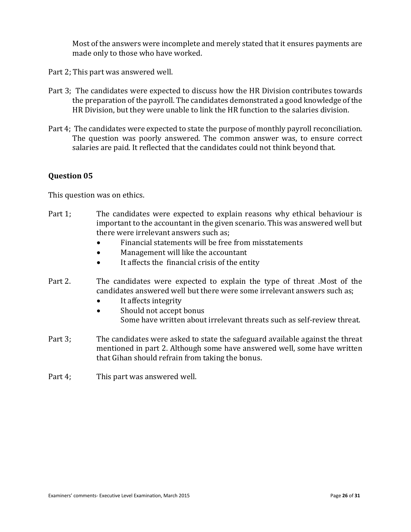Most of the answers were incomplete and merely stated that it ensures payments are made only to those who have worked.

Part 2; This part was answered well.

- Part 3; The candidates were expected to discuss how the HR Division contributes towards the preparation of the payroll. The candidates demonstrated a good knowledge of the HR Division, but they were unable to link the HR function to the salaries division.
- Part 4; The candidates were expected to state the purpose of monthly payroll reconciliation. The question was poorly answered. The common answer was, to ensure correct salaries are paid. It reflected that the candidates could not think beyond that.

# **Question 05**

This question was on ethics.

- Part 1; The candidates were expected to explain reasons why ethical behaviour is important to the accountant in the given scenario. This was answered well but there were irrelevant answers such as;
	- Financial statements will be free from misstatements
	- Management will like the accountant
	- It affects the financial crisis of the entity
- Part 2. The candidates were expected to explain the type of threat .Most of the candidates answered well but there were some irrelevant answers such as;
	- It affects integrity
	- Should not accept bonus Some have written about irrelevant threats such as self-review threat.
- Part 3; The candidates were asked to state the safeguard available against the threat mentioned in part 2. Although some have answered well, some have written that Gihan should refrain from taking the bonus.
- Part 4; This part was answered well.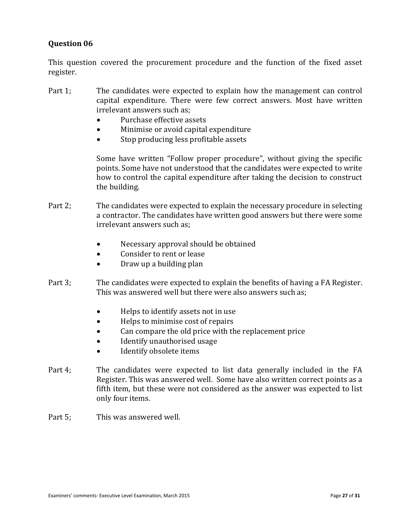This question covered the procurement procedure and the function of the fixed asset register.

- Part 1; The candidates were expected to explain how the management can control capital expenditure. There were few correct answers. Most have written irrelevant answers such as;
	- Purchase effective assets
	- Minimise or avoid capital expenditure
	- Stop producing less profitable assets

Some have written "Follow proper procedure", without giving the specific points. Some have not understood that the candidates were expected to write how to control the capital expenditure after taking the decision to construct the building.

- Part 2; The candidates were expected to explain the necessary procedure in selecting a contractor. The candidates have written good answers but there were some irrelevant answers such as;
	- Necessary approval should be obtained
	- Consider to rent or lease
	- Draw up a building plan
- Part 3; The candidates were expected to explain the benefits of having a FA Register. This was answered well but there were also answers such as;
	- Helps to identify assets not in use
	- Helps to minimise cost of repairs
	- Can compare the old price with the replacement price
	- Identify unauthorised usage
	- Identify obsolete items
- Part 4; The candidates were expected to list data generally included in the FA Register. This was answered well. Some have also written correct points as a fifth item, but these were not considered as the answer was expected to list only four items.
- Part 5: This was answered well.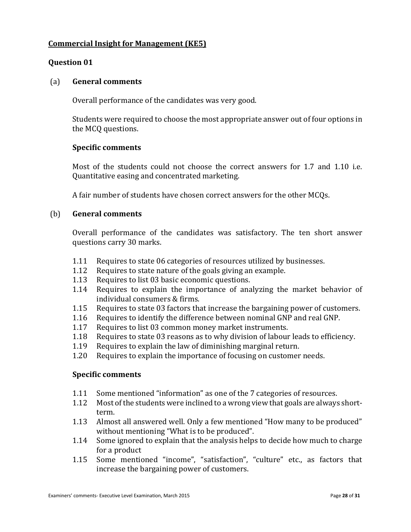# **Commercial Insight for Management (KE5)**

# **Question 01**

#### (a) **General comments**

Overall performance of the candidates was very good.

Students were required to choose the most appropriate answer out of four options in the MCQ questions.

#### **Specific comments**

Most of the students could not choose the correct answers for 1.7 and 1.10 i.e. Quantitative easing and concentrated marketing.

A fair number of students have chosen correct answers for the other MCQs.

#### (b) **General comments**

Overall performance of the candidates was satisfactory. The ten short answer questions carry 30 marks.

- 1.11 Requires to state 06 categories of resources utilized by businesses.
- 1.12 Requires to state nature of the goals giving an example.
- 1.13 Requires to list 03 basic economic questions.
- 1.14 Requires to explain the importance of analyzing the market behavior of individual consumers & firms.
- 1.15 Requires to state 03 factors that increase the bargaining power of customers.
- 1.16 Requires to identify the difference between nominal GNP and real GNP.
- 1.17 Requires to list 03 common money market instruments.
- 1.18 Requires to state 03 reasons as to why division of labour leads to efficiency.
- 1.19 Requires to explain the law of diminishing marginal return.
- 1.20 Requires to explain the importance of focusing on customer needs.

- 1.11 Some mentioned "information" as one of the 7 categories of resources.
- 1.12 Most of the students were inclined to a wrong view that goals are always shortterm.
- 1.13 Almost all answered well. Only a few mentioned "How many to be produced" without mentioning "What is to be produced".
- 1.14 Some ignored to explain that the analysis helps to decide how much to charge for a product
- 1.15 Some mentioned "income", "satisfaction", "culture" etc., as factors that increase the bargaining power of customers.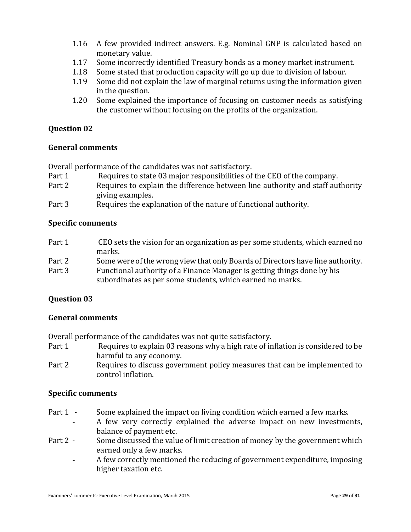- 1.16 A few provided indirect answers. E.g. Nominal GNP is calculated based on monetary value.
- 1.17 Some incorrectly identified Treasury bonds as a money market instrument.
- 1.18 Some stated that production capacity will go up due to division of labour.
- 1.19 Some did not explain the law of marginal returns using the information given in the question.
- 1.20 Some explained the importance of focusing on customer needs as satisfying the customer without focusing on the profits of the organization.

#### **General comments**

Overall performance of the candidates was not satisfactory.

- Part 1 Requires to state 03 major responsibilities of the CEO of the company.
- Part 2 Requires to explain the difference between line authority and staff authority giving examples.
- Part 3 Requires the explanation of the nature of functional authority.

#### **Specific comments**

- Part 1 CEO sets the vision for an organization as per some students, which earned no marks.
- Part 2 Some were of the wrong view that only Boards of Directors have line authority.
- Part 3 Functional authority of a Finance Manager is getting things done by his subordinates as per some students, which earned no marks.

#### **Question 03**

#### **General comments**

Overall performance of the candidates was not quite satisfactory.

- Part 1 Requires to explain 03 reasons why a high rate of inflation is considered to be harmful to any economy.
- Part 2 Requires to discuss government policy measures that can be implemented to control inflation.

- Part 1 Some explained the impact on living condition which earned a few marks.
	- A few very correctly explained the adverse impact on new investments, balance of payment etc.
- Part 2 Some discussed the value of limit creation of money by the government which earned only a few marks.
	- A few correctly mentioned the reducing of government expenditure, imposing higher taxation etc.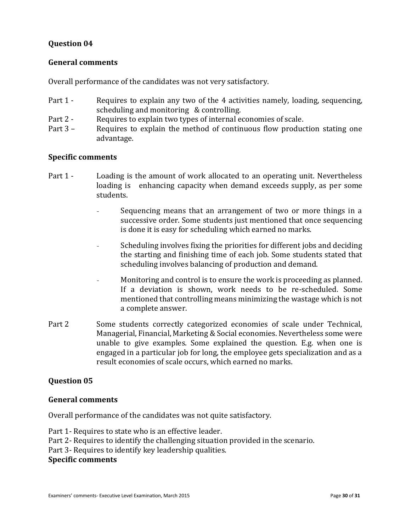#### **General comments**

Overall performance of the candidates was not very satisfactory.

- Part 1 Requires to explain any two of the 4 activities namely, loading, sequencing, scheduling and monitoring & controlling.
- Part 2 Requires to explain two types of internal economies of scale.
- Part 3 Requires to explain the method of continuous flow production stating one advantage.

## **Specific comments**

- Part 1 Loading is the amount of work allocated to an operating unit. Nevertheless loading is enhancing capacity when demand exceeds supply, as per some students.
	- Sequencing means that an arrangement of two or more things in a successive order. Some students just mentioned that once sequencing is done it is easy for scheduling which earned no marks.
	- Scheduling involves fixing the priorities for different jobs and deciding the starting and finishing time of each job. Some students stated that scheduling involves balancing of production and demand.
	- Monitoring and control is to ensure the work is proceeding as planned. If a deviation is shown, work needs to be re-scheduled. Some mentioned that controlling means minimizing the wastage which is not a complete answer.
- Part 2 Some students correctly categorized economies of scale under Technical, Managerial, Financial, Marketing & Social economies. Nevertheless some were unable to give examples. Some explained the question. E.g. when one is engaged in a particular job for long, the employee gets specialization and as a result economies of scale occurs, which earned no marks.

# **Question 05**

#### **General comments**

Overall performance of the candidates was not quite satisfactory.

- Part 1- Requires to state who is an effective leader.
- Part 2- Requires to identify the challenging situation provided in the scenario.
- Part 3- Requires to identify key leadership qualities.